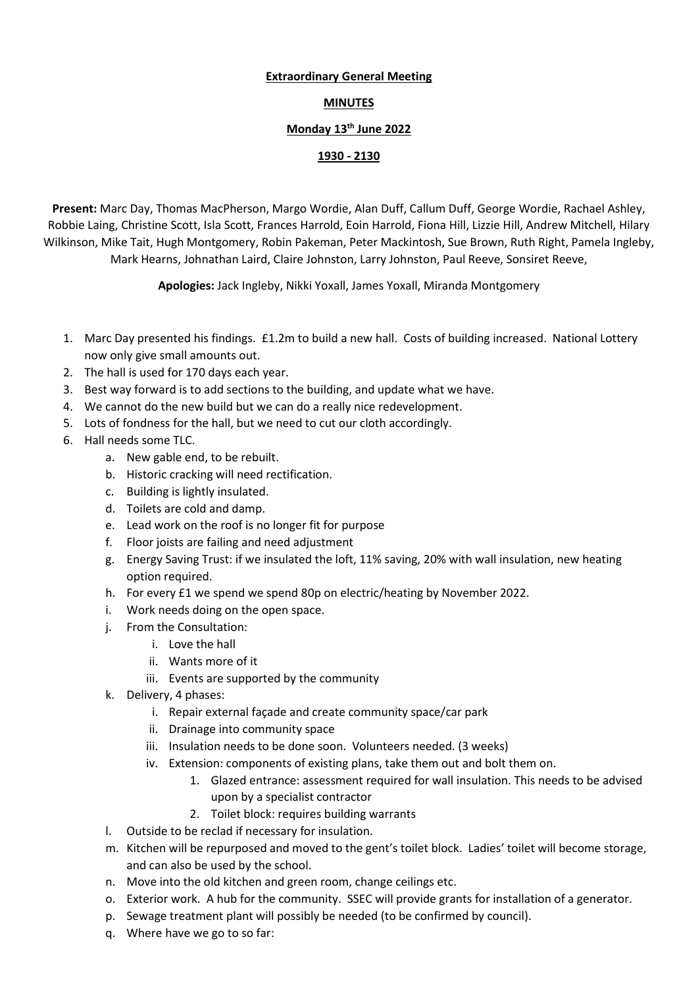## Extraordinary General Meeting

## MINUTES

## Monday 13th June 2022

## 1930 - 2130

Present: Marc Day, Thomas MacPherson, Margo Wordie, Alan Duff, Callum Duff, George Wordie, Rachael Ashley, Robbie Laing, Christine Scott, Isla Scott, Frances Harrold, Eoin Harrold, Fiona Hill, Lizzie Hill, Andrew Mitchell, Hilary Wilkinson, Mike Tait, Hugh Montgomery, Robin Pakeman, Peter Mackintosh, Sue Brown, Ruth Right, Pamela Ingleby, Mark Hearns, Johnathan Laird, Claire Johnston, Larry Johnston, Paul Reeve, Sonsiret Reeve,

Apologies: Jack Ingleby, Nikki Yoxall, James Yoxall, Miranda Montgomery

- 1. Marc Day presented his findings. £1.2m to build a new hall. Costs of building increased. National Lottery now only give small amounts out.
- 2. The hall is used for 170 days each year.
- 3. Best way forward is to add sections to the building, and update what we have.
- 4. We cannot do the new build but we can do a really nice redevelopment.
- 5. Lots of fondness for the hall, but we need to cut our cloth accordingly.
- 6. Hall needs some TLC.
	- a. New gable end, to be rebuilt.
	- b. Historic cracking will need rectification.
	- c. Building is lightly insulated.
	- d. Toilets are cold and damp.
	- e. Lead work on the roof is no longer fit for purpose
	- f. Floor joists are failing and need adjustment
	- g. Energy Saving Trust: if we insulated the loft, 11% saving, 20% with wall insulation, new heating option required.
	- h. For every £1 we spend we spend 80p on electric/heating by November 2022.
	- i. Work needs doing on the open space.
	- j. From the Consultation:
		- i. Love the hall
		- ii. Wants more of it
		- iii. Events are supported by the community
	- k. Delivery, 4 phases:
		- i. Repair external façade and create community space/car park
		- ii. Drainage into community space
		- iii. Insulation needs to be done soon. Volunteers needed. (3 weeks)
		- iv. Extension: components of existing plans, take them out and bolt them on.
			- 1. Glazed entrance: assessment required for wall insulation. This needs to be advised upon by a specialist contractor
			- 2. Toilet block: requires building warrants
	- l. Outside to be reclad if necessary for insulation.
	- m. Kitchen will be repurposed and moved to the gent's toilet block. Ladies' toilet will become storage, and can also be used by the school.
	- n. Move into the old kitchen and green room, change ceilings etc.
	- o. Exterior work. A hub for the community. SSEC will provide grants for installation of a generator.
	- p. Sewage treatment plant will possibly be needed (to be confirmed by council).
	- q. Where have we go to so far: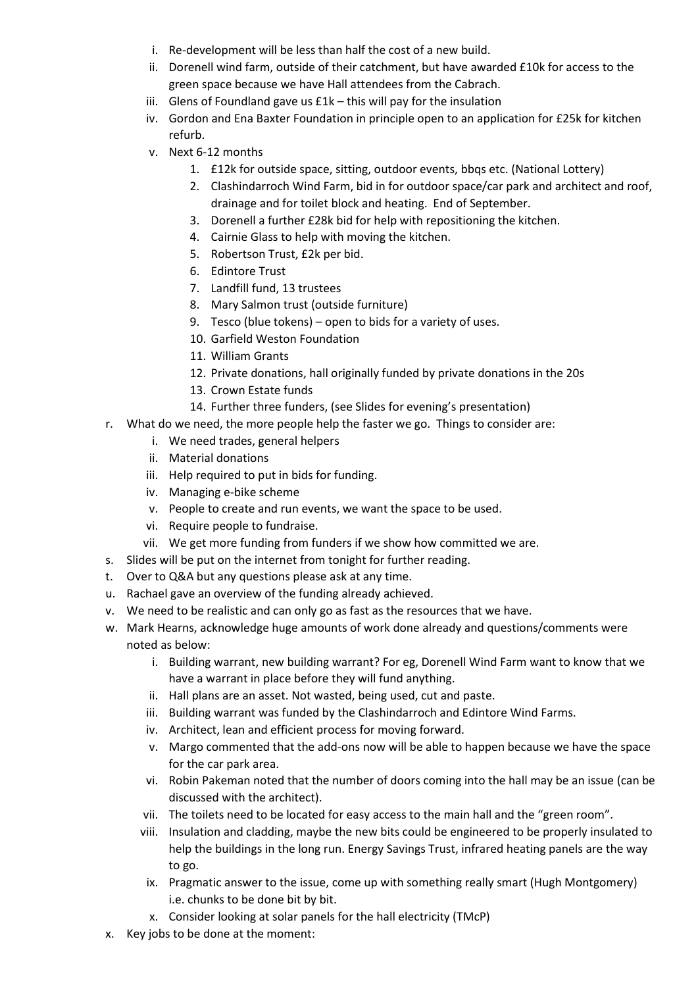- i. Re-development will be less than half the cost of a new build.
- ii. Dorenell wind farm, outside of their catchment, but have awarded £10k for access to the green space because we have Hall attendees from the Cabrach.
- iii. Glens of Foundland gave us  $E1k -$  this will pay for the insulation
- iv. Gordon and Ena Baxter Foundation in principle open to an application for £25k for kitchen refurb.
- v. Next 6-12 months
	- 1. £12k for outside space, sitting, outdoor events, bbqs etc. (National Lottery)
	- 2. Clashindarroch Wind Farm, bid in for outdoor space/car park and architect and roof, drainage and for toilet block and heating. End of September.
	- 3. Dorenell a further £28k bid for help with repositioning the kitchen.
	- 4. Cairnie Glass to help with moving the kitchen.
	- 5. Robertson Trust, £2k per bid.
	- 6. Edintore Trust
	- 7. Landfill fund, 13 trustees
	- 8. Mary Salmon trust (outside furniture)
	- 9. Tesco (blue tokens) open to bids for a variety of uses.
	- 10. Garfield Weston Foundation
	- 11. William Grants
	- 12. Private donations, hall originally funded by private donations in the 20s
	- 13. Crown Estate funds
	- 14. Further three funders, (see Slides for evening's presentation)
- r. What do we need, the more people help the faster we go. Things to consider are:
	- i. We need trades, general helpers
	- ii. Material donations
	- iii. Help required to put in bids for funding.
	- iv. Managing e-bike scheme
	- v. People to create and run events, we want the space to be used.
	- vi. Require people to fundraise.
	- vii. We get more funding from funders if we show how committed we are.
- s. Slides will be put on the internet from tonight for further reading.
- t. Over to Q&A but any questions please ask at any time.
- u. Rachael gave an overview of the funding already achieved.
- v. We need to be realistic and can only go as fast as the resources that we have.
- w. Mark Hearns, acknowledge huge amounts of work done already and questions/comments were noted as below:
	- i. Building warrant, new building warrant? For eg, Dorenell Wind Farm want to know that we have a warrant in place before they will fund anything.
	- ii. Hall plans are an asset. Not wasted, being used, cut and paste.
	- iii. Building warrant was funded by the Clashindarroch and Edintore Wind Farms.
	- iv. Architect, lean and efficient process for moving forward.
	- v. Margo commented that the add-ons now will be able to happen because we have the space for the car park area.
	- vi. Robin Pakeman noted that the number of doors coming into the hall may be an issue (can be discussed with the architect).
	- vii. The toilets need to be located for easy access to the main hall and the "green room".
	- viii. Insulation and cladding, maybe the new bits could be engineered to be properly insulated to help the buildings in the long run. Energy Savings Trust, infrared heating panels are the way to go.
	- ix. Pragmatic answer to the issue, come up with something really smart (Hugh Montgomery) i.e. chunks to be done bit by bit.
	- x. Consider looking at solar panels for the hall electricity (TMcP)
- x. Key jobs to be done at the moment: